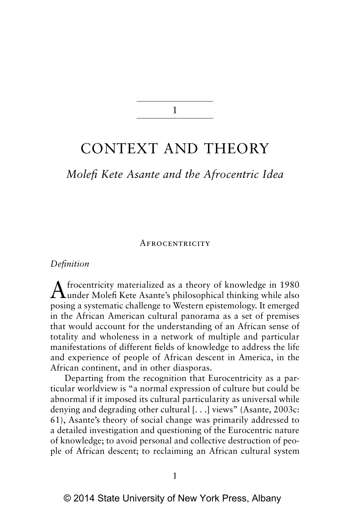# 1

# CONTEXT AND THEORY

*Molefi Kete Asante and the Afrocentric Idea*

#### **AFROCENTRICITY**

### *Definition*

frocentricity materialized as a theory of knowledge in 1980 **T** under Molefi Kete Asante's philosophical thinking while also posing a systematic challenge to Western epistemology. It emerged in the African American cultural panorama as a set of premises that would account for the understanding of an African sense of totality and wholeness in a network of multiple and particular manifestations of different fields of knowledge to address the life and experience of people of African descent in America, in the African continent, and in other diasporas.

Departing from the recognition that Eurocentricity as a particular worldview is "a normal expression of culture but could be abnormal if it imposed its cultural particularity as universal while denying and degrading other cultural [. . .] views" (Asante, 2003c: 61), Asante's theory of social change was primarily addressed to a detailed investigation and questioning of the Eurocentric nature of knowledge; to avoid personal and collective destruction of people of African descent; to reclaiming an African cultural system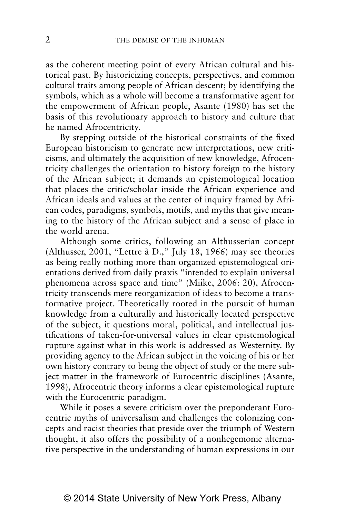as the coherent meeting point of every African cultural and historical past. By historicizing concepts, perspectives, and common cultural traits among people of African descent; by identifying the symbols, which as a whole will become a transformative agent for the empowerment of African people, Asante (1980) has set the basis of this revolutionary approach to history and culture that he named Afrocentricity.

By stepping outside of the historical constraints of the fixed European historicism to generate new interpretations, new criticisms, and ultimately the acquisition of new knowledge, Afrocentricity challenges the orientation to history foreign to the history of the African subject; it demands an epistemological location that places the critic/scholar inside the African experience and African ideals and values at the center of inquiry framed by African codes, paradigms, symbols, motifs, and myths that give meaning to the history of the African subject and a sense of place in the world arena.

Although some critics, following an Althusserian concept (Althusser, 2001, "Lettre à D.," July 18, 1966) may see theories as being really nothing more than organized epistemological orientations derived from daily praxis "intended to explain universal phenomena across space and time" (Miike, 2006: 20), Afrocentricity transcends mere reorganization of ideas to become a transformative project. Theoretically rooted in the pursuit of human knowledge from a culturally and historically located perspective of the subject, it questions moral, political, and intellectual justifications of taken-for-universal values in clear epistemological rupture against what in this work is addressed as Westernity. By providing agency to the African subject in the voicing of his or her own history contrary to being the object of study or the mere subject matter in the framework of Eurocentric disciplines (Asante, 1998), Afrocentric theory informs a clear epistemological rupture with the Eurocentric paradigm.

While it poses a severe criticism over the preponderant Eurocentric myths of universalism and challenges the colonizing concepts and racist theories that preside over the triumph of Western thought, it also offers the possibility of a nonhegemonic alternative perspective in the understanding of human expressions in our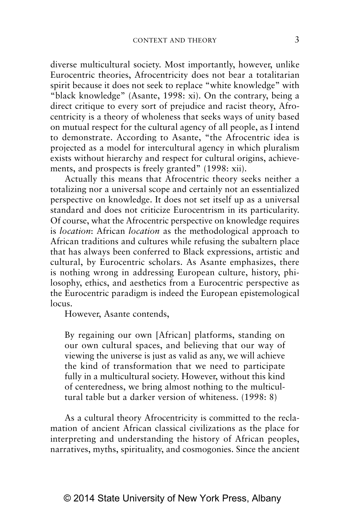diverse multicultural society. Most importantly, however, unlike Eurocentric theories, Afrocentricity does not bear a totalitarian spirit because it does not seek to replace "white knowledge" with "black knowledge" (Asante, 1998: xi). On the contrary, being a direct critique to every sort of prejudice and racist theory, Afrocentricity is a theory of wholeness that seeks ways of unity based on mutual respect for the cultural agency of all people, as I intend to demonstrate. According to Asante, "the Afrocentric idea is projected as a model for intercultural agency in which pluralism exists without hierarchy and respect for cultural origins, achievements, and prospects is freely granted" (1998: xii).

Actually this means that Afrocentric theory seeks neither a totalizing nor a universal scope and certainly not an essentialized perspective on knowledge. It does not set itself up as a universal standard and does not criticize Eurocentrism in its particularity. Of course, what the Afrocentric perspective on knowledge requires is *location*: African *location* as the methodological approach to African traditions and cultures while refusing the subaltern place that has always been conferred to Black expressions, artistic and cultural, by Eurocentric scholars. As Asante emphasizes, there is nothing wrong in addressing European culture, history, philosophy, ethics, and aesthetics from a Eurocentric perspective as the Eurocentric paradigm is indeed the European epistemological locus.

However, Asante contends,

By regaining our own [African] platforms, standing on our own cultural spaces, and believing that our way of viewing the universe is just as valid as any, we will achieve the kind of transformation that we need to participate fully in a multicultural society. However, without this kind of centeredness, we bring almost nothing to the multicultural table but a darker version of whiteness. (1998: 8)

As a cultural theory Afrocentricity is committed to the reclamation of ancient African classical civilizations as the place for interpreting and understanding the history of African peoples, narratives, myths, spirituality, and cosmogonies. Since the ancient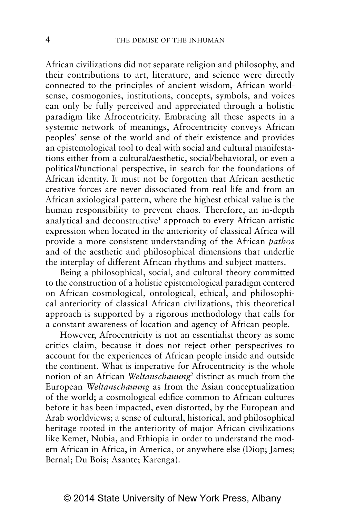African civilizations did not separate religion and philosophy, and their contributions to art, literature, and science were directly connected to the principles of ancient wisdom, African worldsense, cosmogonies, institutions, concepts, symbols, and voices can only be fully perceived and appreciated through a holistic paradigm like Afrocentricity. Embracing all these aspects in a systemic network of meanings, Afrocentricity conveys African peoples' sense of the world and of their existence and provides an epistemological tool to deal with social and cultural manifestations either from a cultural/aesthetic, social/behavioral, or even a political/functional perspective, in search for the foundations of African identity. It must not be forgotten that African aesthetic creative forces are never dissociated from real life and from an African axiological pattern, where the highest ethical value is the human responsibility to prevent chaos. Therefore, an in-depth analytical and deconstructive<sup>1</sup> approach to every African artistic expression when located in the anteriority of classical Africa will provide a more consistent understanding of the African *pathos* and of the aesthetic and philosophical dimensions that underlie the interplay of different African rhythms and subject matters.

Being a philosophical, social, and cultural theory committed to the construction of a holistic epistemological paradigm centered on African cosmological, ontological, ethical, and philosophical anteriority of classical African civilizations, this theoretical approach is supported by a rigorous methodology that calls for a constant awareness of location and agency of African people.

However, Afrocentricity is not an essentialist theory as some critics claim, because it does not reject other perspectives to account for the experiences of African people inside and outside the continent. What is imperative for Afrocentricity is the whole notion of an African *Weltanschauung*<sup>2</sup> distinct as much from the European *Weltanschauung* as from the Asian conceptualization of the world; a cosmological edifice common to African cultures before it has been impacted, even distorted, by the European and Arab worldviews; a sense of cultural, historical, and philosophical heritage rooted in the anteriority of major African civilizations like Kemet, Nubia, and Ethiopia in order to understand the modern African in Africa, in America, or anywhere else (Diop; James; Bernal; Du Bois; Asante; Karenga).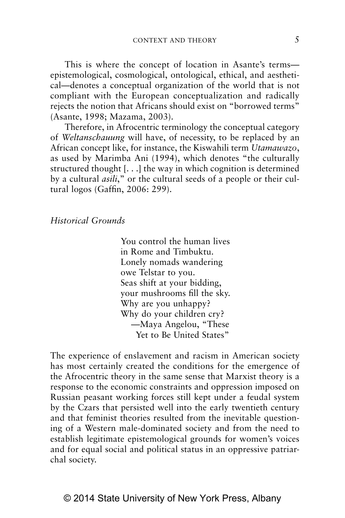This is where the concept of location in Asante's terms epistemological, cosmological, ontological, ethical, and aesthetical—denotes a conceptual organization of the world that is not compliant with the European conceptualization and radically rejects the notion that Africans should exist on "borrowed terms" (Asante, 1998; Mazama, 2003).

Therefore, in Afrocentric terminology the conceptual category of *Weltanschauung* will have, of necessity, to be replaced by an African concept like, for instance, the Kiswahili term *Utamawazo*, as used by Marimba Ani (1994), which denotes "the culturally structured thought [. . .] the way in which cognition is determined by a cultural *asili*," or the cultural seeds of a people or their cultural logos (Gaffin, 2006: 299).

#### *Historical Grounds*

You control the human lives in Rome and Timbuktu. Lonely nomads wandering owe Telstar to you. Seas shift at your bidding, your mushrooms fill the sky. Why are you unhappy? Why do your children cry? —Maya Angelou, "These Yet to Be United States"

The experience of enslavement and racism in American society has most certainly created the conditions for the emergence of the Afrocentric theory in the same sense that Marxist theory is a response to the economic constraints and oppression imposed on Russian peasant working forces still kept under a feudal system by the Czars that persisted well into the early twentieth century and that feminist theories resulted from the inevitable questioning of a Western male-dominated society and from the need to establish legitimate epistemological grounds for women's voices and for equal social and political status in an oppressive patriarchal society.

© 2014 State University of New York Press, Albany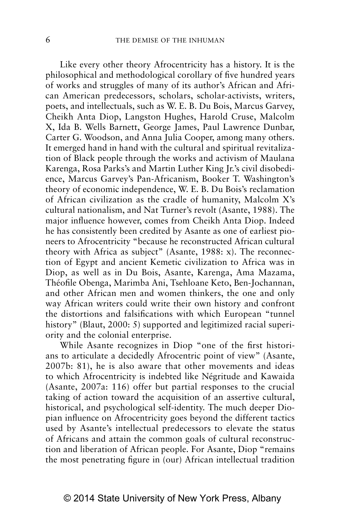Like every other theory Afrocentricity has a history. It is the philosophical and methodological corollary of five hundred years of works and struggles of many of its author's African and African American predecessors, scholars, scholar-activists, writers, poets, and intellectuals, such as W. E. B. Du Bois, Marcus Garvey, Cheikh Anta Diop, Langston Hughes, Harold Cruse, Malcolm X, Ida B. Wells Barnett, George James, Paul Lawrence Dunbar, Carter G. Woodson, and Anna Julia Cooper, among many others. It emerged hand in hand with the cultural and spiritual revitalization of Black people through the works and activism of Maulana Karenga, Rosa Parks's and Martin Luther King Jr.'s civil disobedience, Marcus Garvey's Pan-Africanism, Booker T. Washington's theory of economic independence, W. E. B. Du Bois's reclamation of African civilization as the cradle of humanity, Malcolm X's cultural nationalism, and Nat Turner's revolt (Asante, 1988). The major influence however, comes from Cheikh Anta Diop. Indeed he has consistently been credited by Asante as one of earliest pioneers to Afrocentricity "because he reconstructed African cultural theory with Africa as subject" (Asante, 1988: x). The reconnection of Egypt and ancient Kemetic civilization to Africa was in Diop, as well as in Du Bois, Asante, Karenga, Ama Mazama, Théofile Obenga, Marimba Ani, Tsehloane Keto, Ben-Jochannan, and other African men and women thinkers, the one and only way African writers could write their own history and confront the distortions and falsifications with which European "tunnel history" (Blaut, 2000: 5) supported and legitimized racial superiority and the colonial enterprise.

While Asante recognizes in Diop "one of the first historians to articulate a decidedly Afrocentric point of view" (Asante, 2007b: 81), he is also aware that other movements and ideas to which Afrocentricity is indebted like Négritude and Kawaida (Asante, 2007a: 116) offer but partial responses to the crucial taking of action toward the acquisition of an assertive cultural, historical, and psychological self-identity. The much deeper Diopian influence on Afrocentricity goes beyond the different tactics used by Asante's intellectual predecessors to elevate the status of Africans and attain the common goals of cultural reconstruction and liberation of African people. For Asante, Diop "remains the most penetrating figure in (our) African intellectual tradition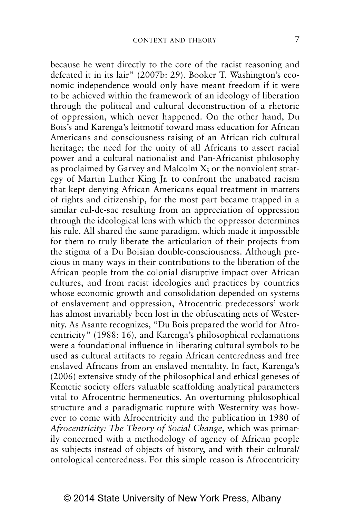because he went directly to the core of the racist reasoning and defeated it in its lair" (2007b: 29). Booker T. Washington's economic independence would only have meant freedom if it were to be achieved within the framework of an ideology of liberation through the political and cultural deconstruction of a rhetoric of oppression, which never happened. On the other hand, Du Bois's and Karenga's leitmotif toward mass education for African Americans and consciousness raising of an African rich cultural heritage; the need for the unity of all Africans to assert racial power and a cultural nationalist and Pan-Africanist philosophy as proclaimed by Garvey and Malcolm X; or the nonviolent strategy of Martin Luther King Jr. to confront the unabated racism that kept denying African Americans equal treatment in matters of rights and citizenship, for the most part became trapped in a similar cul-de-sac resulting from an appreciation of oppression through the ideological lens with which the oppressor determines his rule. All shared the same paradigm, which made it impossible for them to truly liberate the articulation of their projects from the stigma of a Du Boisian double-consciousness. Although precious in many ways in their contributions to the liberation of the African people from the colonial disruptive impact over African cultures, and from racist ideologies and practices by countries whose economic growth and consolidation depended on systems of enslavement and oppression, Afrocentric predecessors' work has almost invariably been lost in the obfuscating nets of Westernity. As Asante recognizes, "Du Bois prepared the world for Afrocentricity" (1988: 16), and Karenga's philosophical reclamations were a foundational influence in liberating cultural symbols to be used as cultural artifacts to regain African centeredness and free enslaved Africans from an enslaved mentality. In fact, Karenga's (2006) extensive study of the philosophical and ethical geneses of Kemetic society offers valuable scaffolding analytical parameters vital to Afrocentric hermeneutics. An overturning philosophical structure and a paradigmatic rupture with Westernity was however to come with Afrocentricity and the publication in 1980 of *Afrocentricity: The Theory of Social Change*, which was primarily concerned with a methodology of agency of African people as subjects instead of objects of history, and with their cultural/ ontological centeredness. For this simple reason is Afrocentricity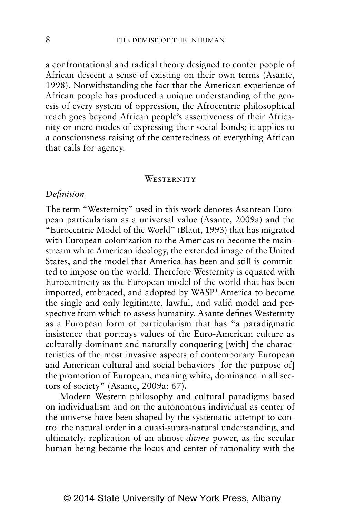a confrontational and radical theory designed to confer people of African descent a sense of existing on their own terms (Asante, 1998). Notwithstanding the fact that the American experience of African people has produced a unique understanding of the genesis of every system of oppression, the Afrocentric philosophical reach goes beyond African people's assertiveness of their Africanity or mere modes of expressing their social bonds; it applies to a consciousness-raising of the centeredness of everything African that calls for agency.

#### **WESTERNITY**

## *Definition*

The term "Westernity" used in this work denotes Asantean European particularism as a universal value (Asante, 2009a) and the "Eurocentric Model of the World" (Blaut, 1993) that has migrated with European colonization to the Americas to become the mainstream white American ideology, the extended image of the United States, and the model that America has been and still is committed to impose on the world. Therefore Westernity is equated with Eurocentricity as the European model of the world that has been imported, embraced, and adopted by WASP3 America to become the single and only legitimate, lawful, and valid model and perspective from which to assess humanity. Asante defines Westernity as a European form of particularism that has "a paradigmatic insistence that portrays values of the Euro-American culture as culturally dominant and naturally conquering [with] the characteristics of the most invasive aspects of contemporary European and American cultural and social behaviors [for the purpose of] the promotion of European, meaning white, dominance in all sectors of society" (Asante, 2009a: 67**).** 

Modern Western philosophy and cultural paradigms based on individualism and on the autonomous individual as center of the universe have been shaped by the systematic attempt to control the natural order in a quasi-supra-natural understanding, and ultimately, replication of an almost *divine* power, as the secular human being became the locus and center of rationality with the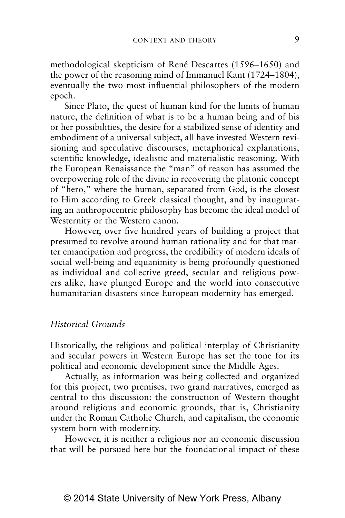methodological skepticism of René Descartes (1596–1650) and the power of the reasoning mind of Immanuel Kant (1724–1804), eventually the two most influential philosophers of the modern epoch.

Since Plato, the quest of human kind for the limits of human nature, the definition of what is to be a human being and of his or her possibilities, the desire for a stabilized sense of identity and embodiment of a universal subject, all have invested Western revisioning and speculative discourses, metaphorical explanations, scientific knowledge, idealistic and materialistic reasoning. With the European Renaissance the "man" of reason has assumed the overpowering role of the divine in recovering the platonic concept of "hero," where the human, separated from God, is the closest to Him according to Greek classical thought, and by inaugurating an anthropocentric philosophy has become the ideal model of Westernity or the Western canon.

However, over five hundred years of building a project that presumed to revolve around human rationality and for that matter emancipation and progress, the credibility of modern ideals of social well-being and equanimity is being profoundly questioned as individual and collective greed, secular and religious powers alike, have plunged Europe and the world into consecutive humanitarian disasters since European modernity has emerged.

## *Historical Grounds*

Historically, the religious and political interplay of Christianity and secular powers in Western Europe has set the tone for its political and economic development since the Middle Ages.

Actually, as information was being collected and organized for this project, two premises, two grand narratives, emerged as central to this discussion: the construction of Western thought around religious and economic grounds, that is, Christianity under the Roman Catholic Church, and capitalism, the economic system born with modernity.

However, it is neither a religious nor an economic discussion that will be pursued here but the foundational impact of these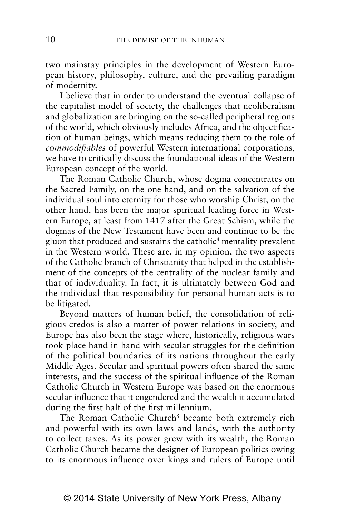two mainstay principles in the development of Western European history, philosophy, culture, and the prevailing paradigm of modernity.

I believe that in order to understand the eventual collapse of the capitalist model of society, the challenges that neoliberalism and globalization are bringing on the so-called peripheral regions of the world, which obviously includes Africa, and the objectification of human beings, which means reducing them to the role of *commodifiables* of powerful Western international corporations, we have to critically discuss the foundational ideas of the Western European concept of the world.

The Roman Catholic Church, whose dogma concentrates on the Sacred Family, on the one hand, and on the salvation of the individual soul into eternity for those who worship Christ, on the other hand, has been the major spiritual leading force in Western Europe, at least from 1417 after the Great Schism, while the dogmas of the New Testament have been and continue to be the gluon that produced and sustains the catholic<sup>4</sup> mentality prevalent in the Western world. These are, in my opinion, the two aspects of the Catholic branch of Christianity that helped in the establishment of the concepts of the centrality of the nuclear family and that of individuality. In fact, it is ultimately between God and the individual that responsibility for personal human acts is to be litigated.

Beyond matters of human belief, the consolidation of religious credos is also a matter of power relations in society, and Europe has also been the stage where, historically, religious wars took place hand in hand with secular struggles for the definition of the political boundaries of its nations throughout the early Middle Ages. Secular and spiritual powers often shared the same interests, and the success of the spiritual influence of the Roman Catholic Church in Western Europe was based on the enormous secular influence that it engendered and the wealth it accumulated during the first half of the first millennium.

The Roman Catholic Church<sup>5</sup> became both extremely rich and powerful with its own laws and lands, with the authority to collect taxes. As its power grew with its wealth, the Roman Catholic Church became the designer of European politics owing to its enormous influence over kings and rulers of Europe until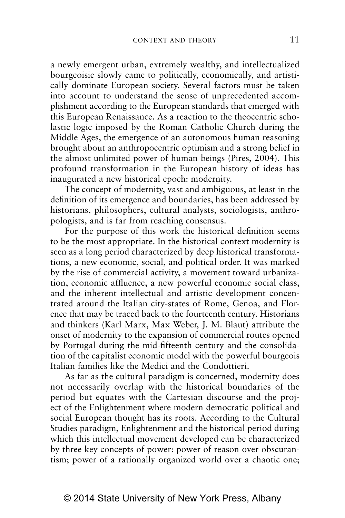a newly emergent urban, extremely wealthy, and intellectualized bourgeoisie slowly came to politically, economically, and artistically dominate European society. Several factors must be taken into account to understand the sense of unprecedented accomplishment according to the European standards that emerged with this European Renaissance. As a reaction to the theocentric scholastic logic imposed by the Roman Catholic Church during the Middle Ages, the emergence of an autonomous human reasoning brought about an anthropocentric optimism and a strong belief in the almost unlimited power of human beings (Pires, 2004). This profound transformation in the European history of ideas has inaugurated a new historical epoch: modernity.

The concept of modernity, vast and ambiguous, at least in the definition of its emergence and boundaries, has been addressed by historians, philosophers, cultural analysts, sociologists, anthropologists, and is far from reaching consensus.

For the purpose of this work the historical definition seems to be the most appropriate. In the historical context modernity is seen as a long period characterized by deep historical transformations, a new economic, social, and political order. It was marked by the rise of commercial activity, a movement toward urbanization, economic affluence, a new powerful economic social class, and the inherent intellectual and artistic development concentrated around the Italian city-states of Rome, Genoa, and Florence that may be traced back to the fourteenth century. Historians and thinkers (Karl Marx, Max Weber, J. M. Blaut) attribute the onset of modernity to the expansion of commercial routes opened by Portugal during the mid-fifteenth century and the consolidation of the capitalist economic model with the powerful bourgeois Italian families like the Medici and the Condottieri.

As far as the cultural paradigm is concerned, modernity does not necessarily overlap with the historical boundaries of the period but equates with the Cartesian discourse and the project of the Enlightenment where modern democratic political and social European thought has its roots. According to the Cultural Studies paradigm, Enlightenment and the historical period during which this intellectual movement developed can be characterized by three key concepts of power: power of reason over obscurantism; power of a rationally organized world over a chaotic one;